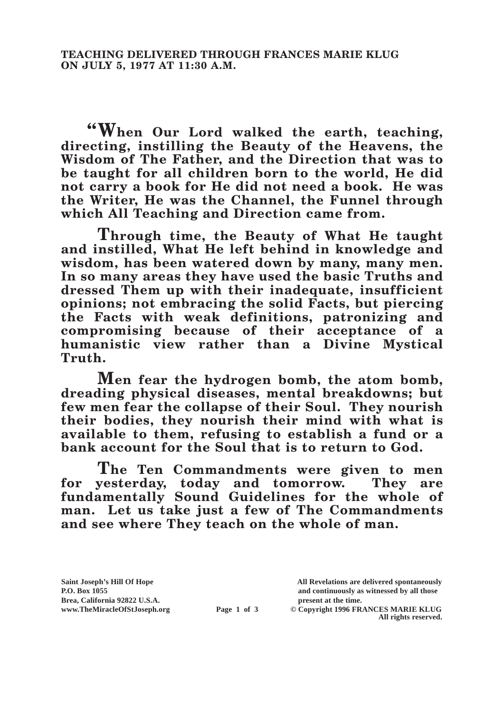**"When Our Lord walked the earth, teaching, directing, instilling the Beauty of the Heavens, the Wisdom of The Father, and the Direction that was to be taught for all children born to the world, He did not carry a book for He did not need a book. He was the Writer, He was the Channel, the Funnel through which All Teaching and Direction came from.**

**Through time, the Beauty of What He taught and instilled, What He left behind in knowledge and wisdom, has been watered down by many, many men. In so many areas they have used the basic Truths and dressed Them up with their inadequate, insufficient opinions; not embracing the solid Facts, but piercing the Facts with weak definitions, patronizing and compromising because of their acceptance of a humanistic view rather than a Divine Mystical Truth.**

**Men fear the hydrogen bomb, the atom bomb, dreading physical diseases, mental breakdowns; but few men fear the collapse of their Soul. They nourish their bodies, they nourish their mind with what is available to them, refusing to establish a fund or a bank account for the Soul that is to return to God.**

**The Ten Commandments were given to men for yesterday, today and tomorrow. They are fundamentally Sound Guidelines for the whole of man. Let us take just a few of The Commandments and see where They teach on the whole of man.**

**Saint Joseph's Hill Of Hope All Revelations are delivered spontaneously** Brea, California 92822 U.S.A.<br>
www.TheMiracleOfStJoseph.org<br> **Page 1 of 3** © Copyright 1996 FR.

**P.O. Box 1055 and continuously as witnessed by all those** 

**Page 1 of 3** © Copyright 1996 FRANCES MARIE KLUG **All rights reserved.**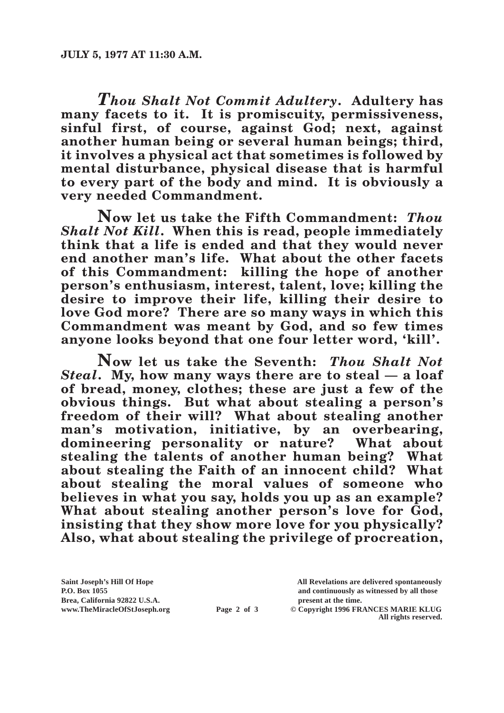*Thou Shalt Not Commit Adultery***. Adultery has many facets to it. It is promiscuity, permissiveness, sinful first, of course, against God; next, against another human being or several human beings; third, it involves a physical act that sometimes is followed by mental disturbance, physical disease that is harmful to every part of the body and mind. It is obviously a very needed Commandment.**

**Now let us take the Fifth Commandment:** *Thou Shalt Not Kill***. When this is read, people immediately think that a life is ended and that they would never end another man's life. What about the other facets of this Commandment: killing the hope of another person's enthusiasm, interest, talent, love; killing the desire to improve their life, killing their desire to love God more? There are so many ways in which this Commandment was meant by God, and so few times anyone looks beyond that one four letter word, 'kill'.**

**Now let us take the Seventh:** *Thou Shalt Not Steal***. My, how many ways there are to steal — a loaf of bread, money, clothes; these are just a few of the obvious things. But what about stealing a person's freedom of their will? What about stealing another man's motivation, initiative, by an overbearing, domineering personality or nature? What about stealing the talents of another human being? What about stealing the Faith of an innocent child? What about stealing the moral values of someone who believes in what you say, holds you up as an example? What about stealing another person's love for God, insisting that they show more love for you physically? Also, what about stealing the privilege of procreation,** 

**Saint Joseph's Hill Of Hope All Revelations are delivered spontaneously P.O. Box 1055 and continuously as witnessed by all those**  Brea, California 92822 U.S.A.<br>
www.TheMiracleOfStJoseph.org<br> **Page 2 of 3** © Copyright 1996 FR.

**Page 2 of 3** © Copyright 1996 FRANCES MARIE KLUG **All rights reserved.**